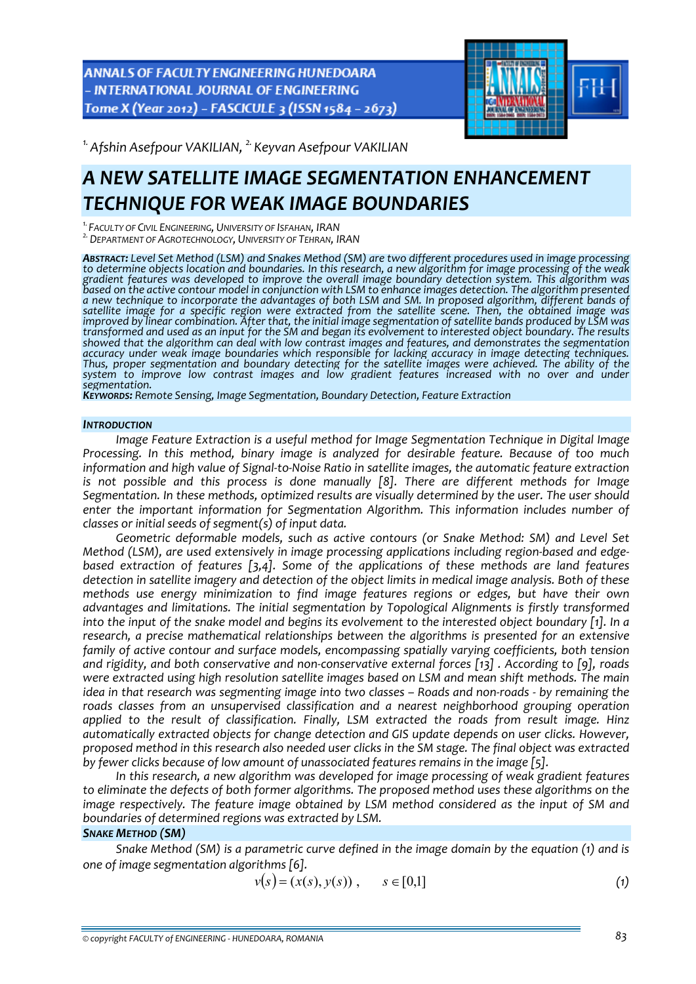ANNALS OF FACULTY ENGINEERING HUNEDOARA - INTERNATIONAL JOURNAL OF ENGINEERING Tome X (Year 2012) - FASCICULE 3 (ISSN 1584 - 2673)



*1.Afshin Asefpour VAKILIAN, 2. Keyvan Asefpour VAKILIAN* 

## *A NEW SATELLITE IMAGE SEGMENTATION ENHANCEMENT TECHNIQUE FOR WEAK IMAGE BOUNDARIES*

<sup>1.</sup> FACULTY OF CIVIL ENGINEERING, UNIVERSITY OF ISFAHAN, IRAN<br><sup>2.</sup> DEPARTMENT OF AGROTECHNOLOGY, UNIVERSITY OF TEHRAN, IRAN

ABSTRACT: Level Set Method (LSM) and Snakes Method (SM) are two different procedures used in image processing to determine objects location and boundaries. In this research, a new algorithm for image processing of the weak *gradient features was developed to improve the overall image boundary detection system. This algorithm was* based on the active contour model in conjunction with LSM to enhance images detection. The algorithm presented a new technique to incorporate the advantages of both LSM and SM. In proposed algorithm, different bands of satellite image for a specific region were extracted from the satellite scene. Then, the obtained image was improved by linear combination. After that, the initial image segmentation of satellite bands produced by LSM was transformed and used as an input for the SM and began its evolvement to interested object boundary. The results *showed that the algorithm can deal with low contrast images and features, and demonstrates the segmentation* Thus, proper segmentation and boundary detecting for the satellite images were achieved. The ability of the *system to improve low contrast images and low gradient features increased with no over and under*

*segmentation. KEYWORDS: Remote Sensing, Image Segmentation, Boundary Detection, Feature Extraction*

#### *INTRODUCTION*

*Image Feature Extraction is a useful method for Image Segmentation Technique in Digital Image Processing. In this method, binary image is analyzed for desirable feature. Because of too much* information and high value of Signal-to-Noise Ratio in satellite images, the automatic feature extraction *is not possible and this process is done manually [8]. There are different methods for Image Segmentation. In these methods, optimized results are visually determined by the user. The user should enter the important information for Segmentation Algorithm. This information includes number of classes or initial seeds of segment(s) of input data.* 

*Geometric deformable models, such as active contours (or Snake Method: SM) and Level Set Method (LSM), are used extensively in image processing applications including region‐based and edge‐ based extraction of features [3,4]. Some of the applications of these methods are land features* detection in satellite imagery and detection of the object limits in medical image analysis. Both of these *methods use energy minimization to find image features regions or edges, but have their own advantages and limitations. The initial segmentation by Topological Alignments is firstly transformed* into the input of the snake model and begins its evolvement to the interested object boundary [1]. In a *research, a precise mathematical relationships between the algorithms is presented for an extensive family of active contour and surface models, encompassing spatially varying coefficients, both tension and rigidity, and both conservative and non‐conservative external forces [13] . According to [9], roads were extracted using high resolution satellite images based on LSM and mean shift methods. The main* idea in that research was segmenting image into two classes – Roads and non-roads - by remaining the *roads classes from an unsupervised classification and a nearest neighborhood grouping operation applied to the result of classification. Finally, LSM extracted the roads from result image. Hinz automatically extracted objects for change detection and GIS update depends on user clicks. However,* proposed method in this research also needed user clicks in the SM stage. The final object was extracted *by fewer clicks because of low amount of unassociated features remains in the image [5].*

*In this research, a new algorithm was developed for image processing of weak gradient features to eliminate the defects of both former algorithms. The proposed method uses these algorithms on the image respectively. The feature image obtained by LSM method considered as the input of SM and boundaries of determined regions was extracted by LSM.*

## *SNAKE METHOD (SM)*

*Snake Method (SM) is a parametric curve defined in the image domain by the equation (1) and is one of image segmentation algorithms [6].*

$$
v(s) = (x(s), y(s)), \qquad s \in [0,1]
$$
 (1)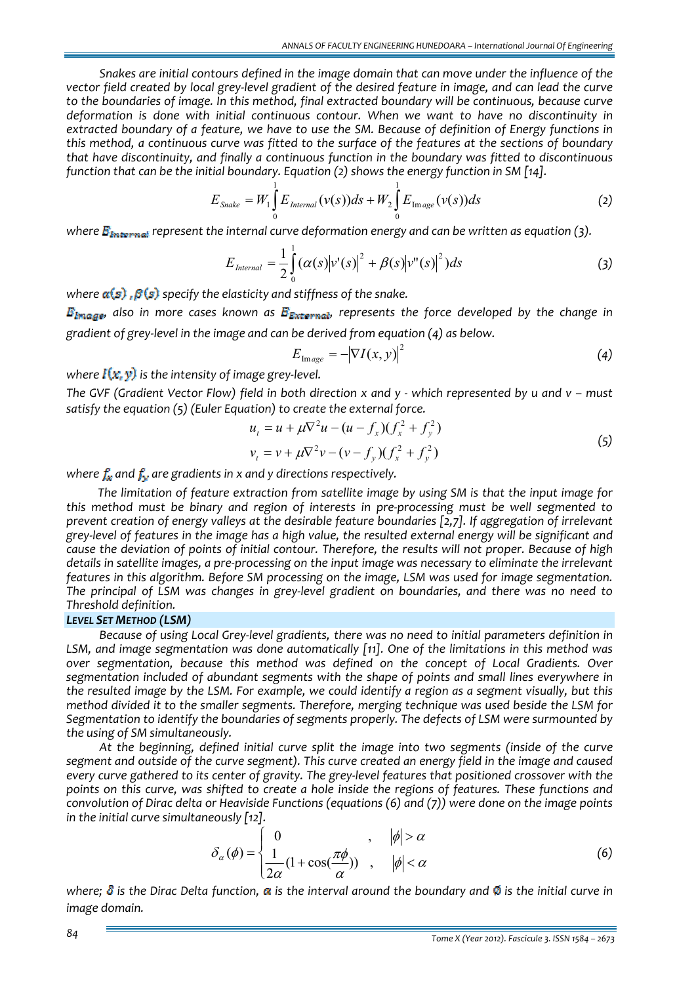*Snakes are initial contours defined in the image domain that can move under the influence of the* vector field created by local grey-level gradient of the desired feature in image, and can lead the curve *to the boundaries of image. In this method, final extracted boundary will be continuous, because curve deformation is done with initial continuous contour. When we want to have no discontinuity in* extracted boundary of a feature, we have to use the SM. Because of definition of Energy functions in this method, a continuous curve was fitted to the surface of the features at the sections of boundary *that have discontinuity, and finally a continuous function in the boundary was fitted to discontinuous function that can be the initial boundary. Equation (2) shows the energy function in SM [14].*

$$
E_{\text{Snake}} = W_1 \int_0^1 E_{\text{Internal}}(v(s)) ds + W_2 \int_0^1 E_{\text{Image}}(v(s)) ds
$$
 (2)

*where represent the internal curve deformation energy and can be written as equation (3).*

$$
E_{\text{Internal}} = \frac{1}{2} \int_{0}^{1} (\alpha(s) |v'(s)|^{2} + \beta(s) |v''(s)|^{2}) ds \qquad (3)
$$

*where*  $\alpha(s)$ ,  $\beta(s)$  specify the elasticity and stiffness of the snake.

 $E_{\text{Image}}$ , also in more cases known as  $E_{\text{External}}$ , represents the force developed by the change in *gradient of grey‐level in the image and can be derived from equation (4) as below.*

$$
E_{\text{Image}} = -|\nabla I(x, y)|^2 \tag{4}
$$

*where*  $I(x, y)$  *is the intensity of image grey-level.* 

The GVF (Gradient Vector Flow) field in both direction x and y - which represented by y and y - must *satisfy the equation (5) (Euler Equation) to create the external force.*

$$
u_t = u + \mu \nabla^2 u - (u - f_x)(f_x^2 + f_y^2)
$$
  
\n
$$
v_t = v + \mu \nabla^2 v - (v - f_y)(f_x^2 + f_y^2)
$$
\n(5)

*where*  $f_x$  *and*  $f_y$  *are* gradients in *x* and *y* directions respectively.

*The limitation of feature extraction from satellite image by using SM is that the input image for this method must be binary and region of interests in pre‐processing must be well segmented to prevent creation of energy valleys at the desirable feature boundaries [2,7]. If aggregation of irrelevant* grev-level of features in the image has a high value, the resulted external energy will be significant and *cause the deviation of points of initial contour. Therefore, the results will not proper. Because of high* details in satellite images, a pre-processing on the input image was necessary to eliminate the irrelevant *features in this algorithm. Before SM processing on the image, LSM was used for image segmentation.* The principal of LSM was changes in grey-level gradient on boundaries, and there was no need to *Threshold definition.*

## *LEVEL SET METHOD (LSM)*

*Because of using Local Grey‐level gradients, there was no need to initial parameters definition in LSM, and image segmentation was done automatically [11]. One of the limitations in this method was over segmentation, because this method was defined on the concept of Local Gradients. Over segmentation included of abundant segments with the shape of points and small lines everywhere in* the resulted image by the LSM. For example, we could identify a region as a segment visually, but this *method divided it to the smaller segments. Therefore, merging technique was used beside the LSM for Segmentation to identify the boundaries of segments properly. The defects of LSM were surmounted by the using of SM simultaneously.*

*At the beginning, defined initial curve split the image into two segments (inside of the curve* segment and outside of the curve segment). This curve created an energy field in the image and caused every curve gathered to its center of gravity. The grey-level features that positioned crossover with the points on this curve, was shifted to create a hole inside the regions of features. These functions and *convolution of Dirac delta or Heaviside Functions (equations (6) and (7)) were done on the image points in the initial curve simultaneously [12].*

$$
\delta_{\alpha}(\phi) = \begin{cases}\n0 & , \quad |\phi| > \alpha \\
\frac{1}{2\alpha}(1 + \cos(\frac{\pi\phi}{\alpha})) & , \quad |\phi| < \alpha\n\end{cases}
$$
\n(6)

where;  $\delta$  is the Dirac Delta function,  $\alpha$  is the interval around the boundary and  $\emptyset$  is the initial curve in *image domain.*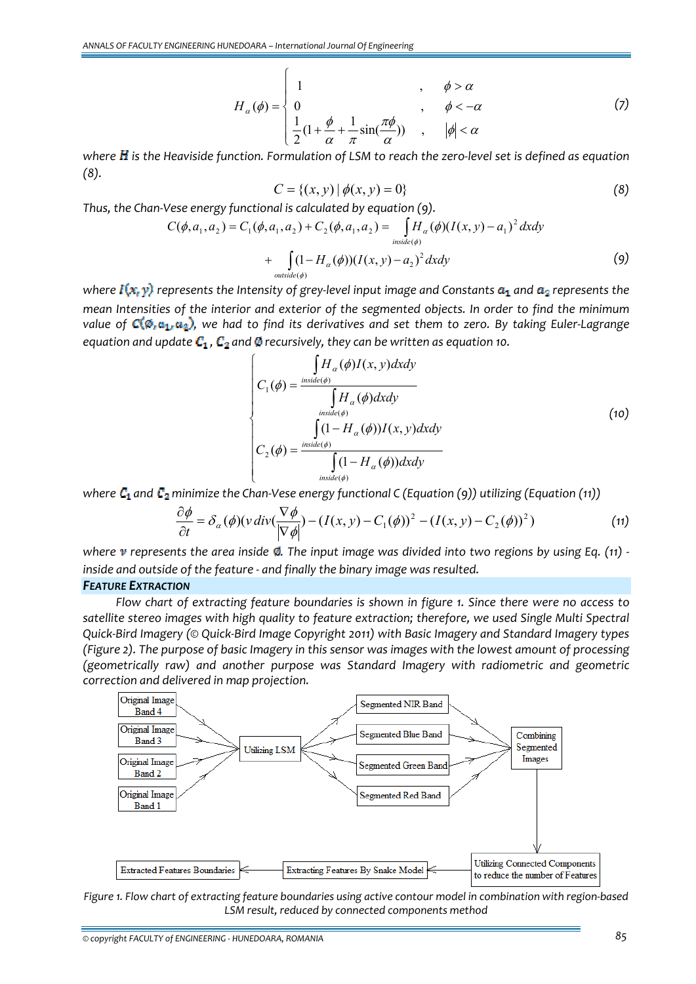$$
H_{\alpha}(\phi) = \begin{cases} 1 & , \phi > \alpha \\ 0 & , \phi < -\alpha \\ \frac{1}{2}(1 + \frac{\phi}{\alpha} + \frac{1}{\pi}\sin(\frac{\pi\phi}{\alpha})) & , \phi < \alpha \end{cases}
$$
 (7)

where  $H$  is the Heaviside function. Formulation of LSM to reach the zero-level set is defined as equation *(8).*

$$
C = \{(x, y) | \phi(x, y) = 0\}
$$
 (8)

*Thus, the Chan‐Vese energy functional is calculated by equation (9).*

$$
C(\phi, a_1, a_2) = C_1(\phi, a_1, a_2) + C_2(\phi, a_1, a_2) = \int_{\text{inside}(\phi)} H_\alpha(\phi) (I(x, y) - a_1)^2 \, dx \, dy
$$
  
+ 
$$
\int_{\text{outside}(\phi)} (1 - H_\alpha(\phi)) (I(x, y) - a_2)^2 \, dx \, dy
$$
 (9)

*where*  $I(x, y)$  represents the Intensity of grey-level input image and Constants  $a_1$  and  $a_2$  represents the *mean Intensities of the interior and exterior of the segmented objects. In order to find the minimum value* of  $\mathbb{C}(\emptyset, \mathfrak{a}_1, \mathfrak{a}_2)$ , we had to find its derivatives and set them to zero. By taking Euler-Lagrange *equation* and *update*  $C_1$ ,  $C_2$  and  $\emptyset$  *recursively, they can be written as equation 10.* 

$$
C_1(\phi) = \frac{\int H_{\alpha}(\phi)I(x, y)dxdy}{\int H_{\alpha}(\phi)dxdy}
$$
\n
$$
C_2(\phi) = \frac{\int (1 - H_{\alpha}(\phi))I(x, y)dxdy}{\int (1 - H_{\alpha}(\phi))I(x, y)dxdy}
$$
\n(10)\n
$$
C_3(\phi) = \frac{\int (1 - H_{\alpha}(\phi))dxdy}{\int (1 - H_{\alpha}(\phi))dxdy}
$$

*where*  $C_1$  *and*  $C_2$  *minimize* the Chan-Vese energy functional C (Equation (9)) utilizing (Equation (11))

$$
\frac{\partial \phi}{\partial t} = \delta_{\alpha}(\phi)(v \operatorname{div}(\frac{\nabla \phi}{|\nabla \phi|}) - (I(x, y) - C_1(\phi))^2 - (I(x, y) - C_2(\phi))^2)
$$
(11)

where v represents the area inside  $\emptyset$ . The input image was divided into two regions by using Eq. (11) *inside and outside of the feature ‐ and finally the binary image was resulted.*

## *FEATURE EXTRACTION*

*Flow chart of extracting feature boundaries is shown in figure 1. Since there were no access to satellite stereo images with high quality to feature extraction; therefore, we used Single Multi Spectral* Quick-Bird Imagery (© Quick-Bird Image Copyright 2011) with Basic Imagery and Standard Imagery types (Figure 2). The purpose of basic Imagery in this sensor was images with the lowest amount of processing *(geometrically raw) and another purpose was Standard Imagery with radiometric and geometric correction and delivered in map projection.*



Figure 1. Flow chart of extracting feature boundaries using active contour model in combination with region-based *LSM result, reduced by connected components method*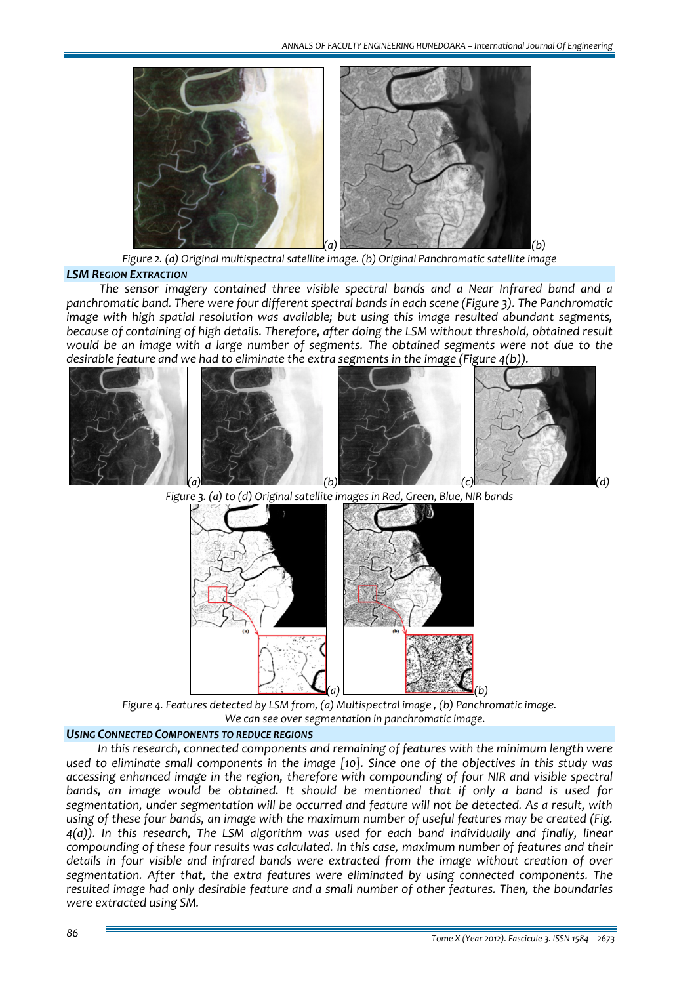

*Figure 2. (a) Original multispectral satellite image. (b) Original Panchromatic satellite image*

#### *LSM REGION EXTRACTION*

*The sensor imagery contained three visible spectral bands and a Near Infrared band and a panchromatic band. There were four different spectral bands in each scene (Figure 3). The Panchromatic image with high spatial resolution was available; but using this image resulted abundant segments, because of containing of high details. Therefore, after doing the LSM without threshold, obtained result would be an image with a large number of segments. The obtained segments were not due to the desirable feature and we had to eliminate the extra segments in the image (Figure 4(b)).*





*Figure 3. (a) to (d) Original satellite images in Red, Green, Blue, NIR bands*

*Figure 4. Features detected by LSM from, (a) Multispectral image , (b) Panchromatic image. We can see over segmentation in panchromatic image.*

#### *USING CONNECTED COMPONENTS TO REDUCE REGIONS*

*In this research, connected components and remaining of features with the minimum length were* used to eliminate small components in the image [10]. Since one of the objectives in this study was *accessing enhanced image in the region, therefore with compounding of four NIR and visible spectral bands, an image would be obtained. It should be mentioned that if only a band is used for segmentation, under segmentation will be occurred and feature will not be detected. As a result, with* using of these four bands, an image with the maximum number of useful features may be created (Fig. *4(a)). In this research, The LSM algorithm was used for each band individually and finally, linear compounding of these four results was calculated. In this case, maximum number of features and their details in four visible and infrared bands were extracted from the image without creation of over segmentation. After that, the extra features were eliminated by using connected components. The resulted image had only desirable feature and a small number of other features. Then, the boundaries were extracted using SM.*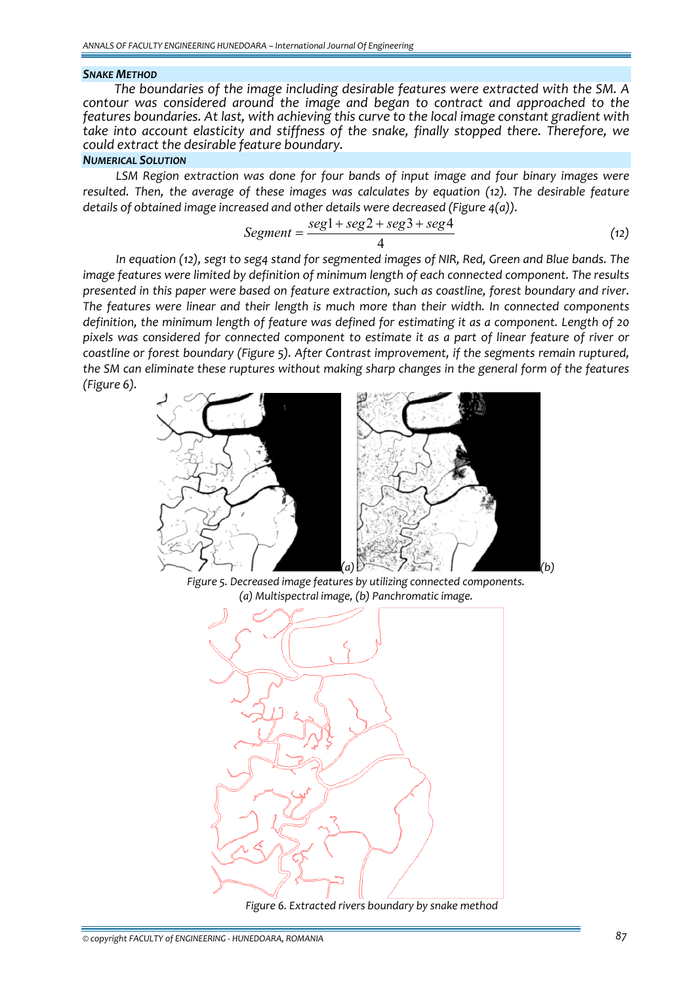#### *SNAKE METHOD*

*The boundaries of the image including desirable features were extracted with the SM. A contour was considered around the image and began to contract and approached to the features boundaries. At last, with achieving this curve to the local image constant gradient with take into account elasticity and stiffness of the snake, finally stopped there. Therefore, we could extract the desirable feature boundary.*

### *NUMERICAL SOLUTION*

*LSM Region extraction was done for four bands of input image and four binary images were resulted. Then, the average of these images was calculates by equation (12). The desirable feature details of obtained image increased and other details were decreased (Figure 4(a)).*

$$
Segment = \frac{seg1 + seg2 + seg3 + seg4}{4} \tag{12}
$$

*In equation (12), seg1 to seg4 stand for segmented images of NIR, Red, Green and Blue bands. The image features were limited by definition of minimum length of each connected component. The results presented in this paper were based on feature extraction, such as coastline, forest boundary and river. The features were linear and their length is much more than their width. In connected components definition, the minimum length of feature was defined for estimating it as a component. Length of 20* pixels was considered for connected component to estimate it as a part of linear feature of river or *coastline or forest boundary (Figure 5). After Contrast improvement, if the segments remain ruptured, the SM can eliminate these ruptures without making sharp changes in the general form of the features (Figure 6).*



*Figure 5. Decreased image features by utilizing connected components. (a) Multispectral image, (b) Panchromatic image.*



*Figure 6. Extracted rivers boundary by snake method*